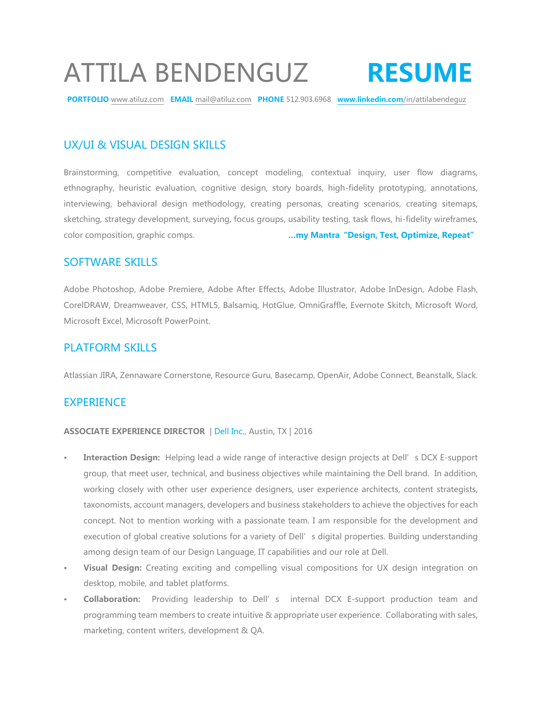# ATTILA BENDENGUZ **RESUME**

**PORTFOLIO** www.atiluz.com **EMAIL** mail@atiluz.com **PHONE** 512.903.6968 **www.linkedin.com**/in/attilabendeguz

# UX/UI & VISUAL DESIGN SKILLS

Brainstorming, competitive evaluation, concept modeling, contextual inquiry, user flow diagrams, ethnography, heuristic evaluation, cognitive design, story boards, high-fidelity prototyping, annotations, interviewing, behavioral design methodology, creating personas, creating scenarios, creating sitemaps, sketching, strategy development, surveying, focus groups, usability testing, task flows, hi-fidelity wireframes, color composition, graphic comps. **…my Mantra"Design, Test, Optimize, Repeat"**

## SOFTWARE SKILLS

Adobe Photoshop, Adobe Premiere, Adobe After Effects, Adobe Illustrator, Adobe InDesign, Adobe Flash, CorelDRAW, Dreamweaver, CSS, HTML5, Balsamiq, HotGlue, OmniGraffle, Evernote Skitch, Microsoft Word, Microsoft Excel, Microsoft PowerPoint.

## PLATFORM SKILLS

Atlassian JIRA, Zennaware Cornerstone, Resource Guru, Basecamp, OpenAir, Adobe Connect, Beanstalk, Slack.

## **EXPERIENCE**

#### **ASSOCIATE EXPERIENCE DIRECTOR** | Dell Inc., Austin, TX | 2016

- **Interaction Design:** Helping lead a wide range of interactive design projects at Dell's DCX E-support group, that meet user, technical, and business objectives while maintaining the Dell brand. In addition, working closely with other user experience designers, user experience architects, content strategists, taxonomists, account managers, developers and business stakeholders to achieve the objectives for each concept. Not to mention working with a passionate team. I am responsible for the development and execution of global creative solutions for a variety of Dell's digital properties. Building understanding among design team of our Design Language, IT capabilities and our role at Dell.
- **• Visual Design:** Creating exciting and compelling visual compositions for UX design integration on desktop, mobile, and tablet platforms.
- **• Collaboration:** Providing leadership to Dell's internal DCX E-support production team and programming team members to create intuitive & appropriate user experience. Collaborating with sales, marketing, content writers, development & QA.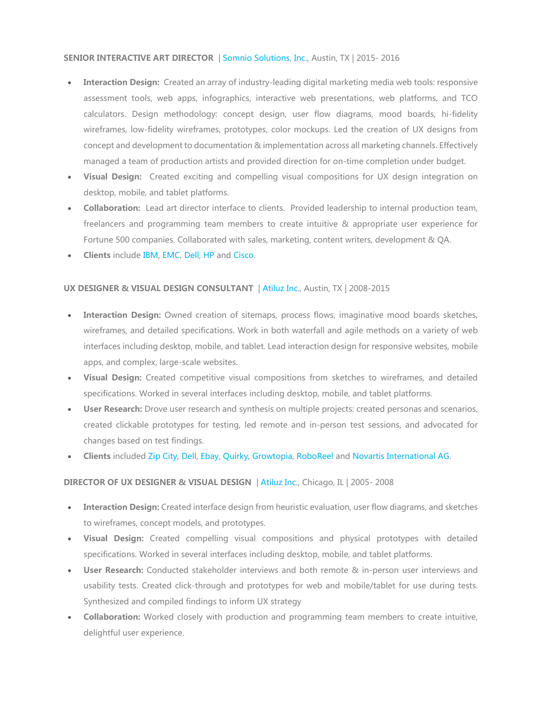#### **SENIOR INTERACTIVE ART DIRECTOR** | Somnio Solutions, Inc., Austin, TX | 2015- 2016

- **Interaction Design:** Created an array of industry-leading digital marketing media web tools: responsive assessment tools, web apps, infographics, interactive web presentations, web platforms, and TCO calculators. Design methodology: concept design, user flow diagrams, mood boards, hi-fidelity wireframes, low-fidelity wireframes, prototypes, color mockups. Led the creation of UX designs from concept and development to documentation & implementation across all marketing channels. Effectively managed a team of production artists and provided direction for on-time completion under budget.
- **Visual Design:** Created exciting and compelling visual compositions for UX design integration on desktop, mobile, and tablet platforms.
- **Collaboration:** Lead art director interface to clients. Provided leadership to internal production team, freelancers and programming team members to create intuitive & appropriate user experience for Fortune 500 companies. Collaborated with sales, marketing, content writers, development & QA.
- **Clients** include IBM, EMC, Dell, HP and Cisco.

#### **UX DESIGNER & VISUAL DESIGN CONSULTANT** | Atiluz Inc., Austin, TX | 2008-2015

- **Interaction Design:** Owned creation of sitemaps, process flows, imaginative mood boards sketches, wireframes, and detailed specifications. Work in both waterfall and agile methods on a variety of web interfaces including desktop, mobile, and tablet. Lead interaction design for responsive websites, mobile apps, and complex, large-scale websites.
- **Visual Design:** Created competitive visual compositions from sketches to wireframes, and detailed specifications. Worked in several interfaces including desktop, mobile, and tablet platforms.
- **User Research:** Drove user research and synthesis on multiple projects: created personas and scenarios, created clickable prototypes for testing, led remote and in-person test sessions, and advocated for changes based on test findings.
- **Clients** included Zip City, Dell, Ebay, Quirky, Growtopia, RoboReel and Novartis International AG.

#### **DIRECTOR OF UX DESIGNER & VISUAL DESIGN** | Atiluz Inc., Chicago, IL | 2005- 2008

- **Interaction Design:** Created interface design from heuristic evaluation, user flow diagrams, and sketches to wireframes, concept models, and prototypes.
- **Visual Design:** Created compelling visual compositions and physical prototypes with detailed specifications. Worked in several interfaces including desktop, mobile, and tablet platforms.
- **User Research:** Conducted stakeholder interviews and both remote & in-person user interviews and usability tests. Created click-through and prototypes for web and mobile/tablet for use during tests. Synthesized and compiled findings to inform UX strategy
- **Collaboration:** Worked closely with production and programming team members to create intuitive, delightful user experience.